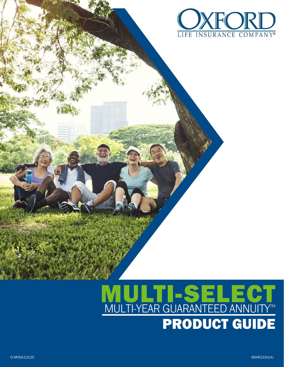

# PRODUCT GUIDE MULTI-SELECT MULTI-YEAR GUARANTEED ANNUITY™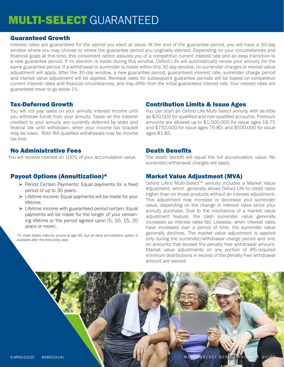# MULTI-SELECT GUARANTEED

# Guaranteed Growth

Interest rates are guaranteed for the period you elect at issue. At the end of the guarantee period, you will have a 30-day window where you may choose to renew the guarantee period you originally elected. Depending on your circumstances and financial goals at this time, this convenient option assures you of a competitive current interest rate and an easy transition to a new guarantee period. If no election is made during this window, Oxford Life will automatically renew your annuity for the same guarantee period. If a withdrawal or surrender is made within this 30-day window, no surrender charges or market value adjustment will apply. After the 30-day window, a new guarantee period, guaranteed interest rate, surrender charge period and market value adjustment will be applied. Renewal rates for subsequent guarantee periods will be based on competitive current interest rates and financial circumstances, and may differ from the initial guaranteed interest rate. Your interest rates are guaranteed never to go below 1%.

# Tax-Deferred Growth

You will not pay taxes on your annuity interest income until you withdraw funds from your annuity. Taxes on the interest credited to your annuity are currently deferred by state and federal law until withdrawn, when your income tax bracket may be lower. Roth IRA qualified withdrawals may be income tax free.

# No Administrative Fees

# Payout Options (Annuitization)\*

- ¾ Period Certain Payments: Equal payments for a fixed period of up to 30 years.
- $\triangleright$  Lifetime income: Equal payments will be made for your lifetime.
- $\triangleright$  Lifetime income with guaranteed period certain: Equal payments will be made for the longer of your remaining lifetime or the period agreed upon (5, 10, 15, 20 years or more).

*\*In most states maturity occurs at age 95, but an early annuitization option is available after the first policy year.*

# Contribution Limits & Issue Ages

You can start an Oxford Life Multi-Select annuity with as little as \$20,000 for qualified and non-qualified accounts. Premium amounts are allowed up to \$1,000,000 for issue ages 18-75 and \$750,000 for issue ages 76-80, and \$500,000 for issue ages 81-85.

#### Death Benefits

You will receive interest on 100% of your accumulation value. The death benefit will equal the full accumulation value. No surrender/withdrawal charges will apply.

# Market Value Adjustment (MVA)

Oxford Life's Multi-Select™ annuity includes a Market Value Adjustment, which generally allows Oxford Life to credit rates higher than on those products without an interest adjustment. This adjustment may increase or decrease your surrender value, depending on the change in interest rates since your annuity purchase. Due to the mechanics of a market value adjustment feature, the cash surrender value generally increases as interest rates fall. Likewise, when interest rates have increased over a period of time, the surrender value generally declines. The market value adjustment is applied only during the surrender/withdrawal charge period and only on amounts that exceed the penalty free withdrawal amount. Market value adjustments on any portion of IRS-required minimum distributions in excess of the penalty-free withdrawal amount are waived.

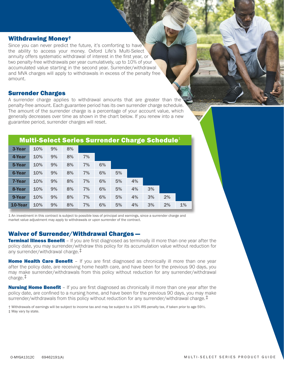#### Withdrawing Money†

Since you can never predict the future, it's comforting to have the ability to access your money. Oxford Life's Multi-Select annuity offers systematic withdrawal of interest in the first year, or two penalty-free withdrawals per year cumulatively, up to 10% of your accumulated value starting in the second year. Surrender/withdrawal and MVA charges will apply to withdrawals in excess of the penalty free amount.

#### Surrender Charges

A surrender charge applies to withdrawal amounts that are greater than the penalty-free amount. Each guarantee period has its own surrender charge schedule. The amount of the surrender charge is a percentage of your account value, which generally decreases over time as shown in the chart below. If you renew into a new guarantee period, surrender charges will reset.

| <b>Multi-Select Series Surrender Charge Schedule</b> |     |    |    |    |    |    |    |    |    |    |
|------------------------------------------------------|-----|----|----|----|----|----|----|----|----|----|
| 3-Year                                               | 10% | 9% | 8% |    |    |    |    |    |    |    |
| 4-Year                                               | 10% | 9% | 8% | 7% |    |    |    |    |    |    |
| 5-Year                                               | 10% | 9% | 8% | 7% | 6% |    |    |    |    |    |
| <b>6-Year</b>                                        | 10% | 9% | 8% | 7% | 6% | 5% |    |    |    |    |
| 7-Year                                               | 10% | 9% | 8% | 7% | 6% | 5% | 4% |    |    |    |
| 8-Year                                               | 10% | 9% | 8% | 7% | 6% | 5% | 4% | 3% |    |    |
| 9-Year                                               | 10% | 9% | 8% | 7% | 6% | 5% | 4% | 3% | 2% |    |
| 10-Year                                              | 10% | 9% | 8% | 7% | 6% | 5% | 4% | 3% | 2% | 1% |

1 An investment in this contract is subject to possible loss of principal and earnings, since a surrender charge and market value adjustment may apply to withdrawals or upon surrender of the contract.

#### Waiver of Surrender/Withdrawal Charges —

**Terminal Illness Benefit** – If you are first diagnosed as terminally ill more than one year after the policy date, you may surrender/withdraw this policy for its accumulation value without reduction for any surrender/withdrawal charge.‡

**Home Health Care Benefit** – If you are first diagnosed as chronically ill more than one year after the policy date, are receiving home health care, and have been for the previous 90 days, you may make surrender/withdrawals from this policy without reduction for any surrender/withdrawal charge.‡

**Nursing Home Benefit** – If you are first diagnosed as chronically ill more than one year after the policy date, are confined to a nursing home, and have been for the previous 90 days, you may make surrender/withdrawals from this policy without reduction for any surrender/withdrawal charge.<sup>†</sup>

† Withdrawals of earnings will be subject to income tax and may be subject to a 10% IRS penalty tax, if taken prior to age 59½. ‡ May vary by state.